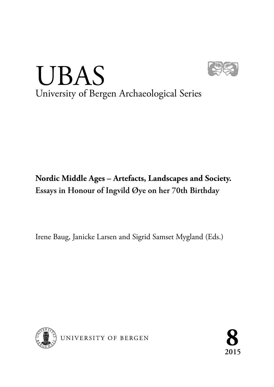

# UBAS University of Bergen Archaeological Series

## **Nordic Middle Ages – Artefacts, Landscapes and Society. Essays in Honour of Ingvild Øye on her 70th Birthday**

Irene Baug, Janicke Larsen and Sigrid Samset Mygland (Eds.)



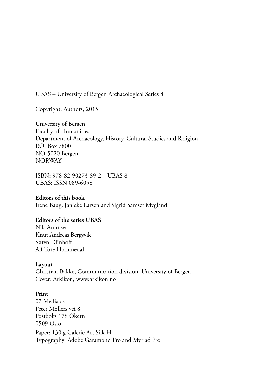UBAS – University of Bergen Archaeological Series 8

Copyright: Authors, 2015

University of Bergen, Faculty of Humanities, Department of Archaeology, History, Cultural Studies and Religion P.O. Box 7800 NO-5020 Bergen NORWAY

ISBN: 978-82-90273-89-2 UBAS 8 UBAS: ISSN 089-6058

#### **Editors of this book**

Irene Baug, Janicke Larsen and Sigrid Samset Mygland

#### **Editors of the series UBAS**

Nils Anfinset Knut Andreas Bergsvik Søren Diinhoff Alf Tore Hommedal

#### **Layout**

Christian Bakke, Communication division, University of Bergen Cover: Arkikon, www.arkikon.no

#### **Print**

07 Media as Peter Møllers vei 8 Postboks 178 Økern 0509 Oslo Paper: 130 g Galerie Art Silk H Typography: Adobe Garamond Pro and Myriad Pro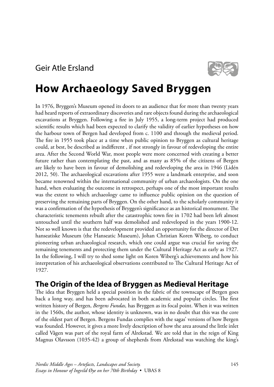

# **How Archaeology Saved Bryggen**

In 1976, Bryggen's Museum opened its doors to an audience that for more than twenty years had heard reports of extraordinary discoveries and rare objects found during the archaeological excavations at Bryggen. Following a fire in July 1955, a long-term project had produced scientific results which had been expected to clarify the validity of earlier hypotheses on how the harbour town of Bergen had developed from c. 1100 and through the medieval period. The fire in 1955 took place at a time when public opinion to Bryggen as cultural heritage could, at best, be described as indifferent , if not strongly in favour of redeveloping the entire area. After the Second World War, most people were more concerned with creating a better future rather than contemplating the past, and as many as 85% of the citizens of Bergen are likely to have been in favour of demolishing and redeveloping the area in 1946 (Lidén 2012, 50). The archaeological excavations after 1955 were a landmark enterprise, and soon became renowned within the international community of urban archaeologists. On the one hand, when evaluating the outcome in retrospect, perhaps one of the most important results was the extent to which archaeology came to influence public opinion on the question of preserving the remaining parts of Bryggen. On the other hand, to the scholarly community it was a confirmation of the hypothesis of Bryggen's significance as an historical monument. The characteristic tenements rebuilt after the catastrophic town fire in 1702 had been left almost untouched until the southern half was demolished and redeveloped in the years 1900-12. Not so well known is that the redevelopment provided an opportunity for the director of Det hanseatiske Museum (the Hanseatic Museum), Johan Christian Koren Wiberg, to conduct pioneering urban archaeological research, which one could argue was crucial for saving the remaining tenements and protecting them under the Cultural Heritage Act as early as 1927. In the following, I will try to shed some light on Koren Wiberg's achievements and how his interpretation of his archaeological observations contributed to The Cultural Heritage Act of 1927.

## **The Origin of the Idea of Bryggen as Medieval Heritage**

The idea that Bryggen held a special position in the fabric of the townscape of Bergen goes back a long way, and has been advocated in both academic and popular circles. The first written history of Bergen, *Bergens Fundas,* has Bryggen as its focal point. When it was written in the 1560s, the author, whose identity is unknown, was in no doubt that this was the core of the oldest part of Bergen. Bergens Fundas complies with the sagas' versions of how Bergen was founded. However, it gives a more lively description of how the area around the little inlet called Vågen was part of the royal farm of Alrekstad. We are told that in the reign of King Magnus Olavsson (1035-42) a group of shepherds from Alrekstad was watching the king's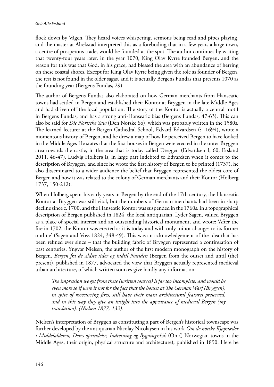flock down by Vågen. They heard voices whispering, sermons being read and pipes playing, and the master at Alrekstad interpreted this as a foreboding that in a few years a large town, a centre of prosperous trade, would be founded at the spot. The author continues by writing that twenty-four years later, in the year 1070, King Olav Kyrre founded Bergen, and the reason for this was that God, in his grace, had blessed the area with an abundance of herring on these coastal shores. Except for King Olav Kyrre being given the role as founder of Bergen, the rest is not found in the older sagas, and it is actually Bergens Fundas that presents 1070 as the founding year (Bergens Fundas, 29).

The author of Bergens Fundas also elaborated on how German merchants from Hanseatic towns had settled in Bergen and established their Kontor at Bryggen in the late Middle Ages and had driven off the local population. The story of the Kontor is actually a central motif in Bergens Fundas, and has a strong anti-Hanseatic bias (Bergens Fundas, 47-63). This can also be said for *Die Nortsche Saw* (Den Norske So), which was probably written in the 1580s. The learned lecturer at the Bergen Cathedral School, Edvard Edvardsen (? -1694), wrote a momentous history of Bergen, and he drew a map of how he perceived Bergen to have looked in the Middle Ages He states that the first houses in Bergen were erected in the outer Bryggen area towards the castle, in the area that is today called Dreggen (Edvardsen I, 60; Ersland 2011, 46-47). Ludvig Holberg is, in large part indebted to Edvardsen when it comes to the description of Bryggen, and since he wrote the first history of Bergen to be printed (1737), he also disseminated to a wider audience the belief that Bryggen represented the oldest core of Bergen and how it was related to the colony of German merchants and their Kontor (Holberg 1737, 150-212).

When Holberg spent his early years in Bergen by the end of the 17th century, the Hanseatic Kontor at Bryggen was still vital, but the numbers of German merchants had been in sharp decline since c. 1700, and the Hanseatic Kontor was suspended in the 1760s. In a topographical description of Bergen published in 1824, the local antiquarian, Lyder Sagen, valued Bryggen as a place of special interest and an outstanding historical monument, and wrote: 'After the fire in 1702, the Kontor was erected as it is today and with only minor changes to its former outline' (Sagen and Voss 1824, 348-49). This was an acknowledgement of the idea that has been refined ever since – that the building fabric of Bryggen represented a continuation of past centuries. Yngvar Nielsen, the author of the first modern monograph on the history of Bergen, *Bergen fra de ældste tider og indtil Nutiden* (Bergen from the outset and until (the) present), published in 1877, advocated the view that Bryggen actually represented medieval urban architecture, of which written sources give hardly any information:

*The impression we get from these (written sources) is far too incomplete, and would be even more so if were it not for the fact that the houses at The German Warf (Bryggen), in spite of reoccurring fires, still have their main architectural features preserved, and in this way they give an insight into the appearance of medieval Bergen (my translation). (Nielsen 1877, 132).*

Nielsen's interpretation of Bryggen as constituting a part of Bergen's historical townscape was further developed by the antiquarian Nicolay Nicolaysen in his work *Om de norske Kjøpstæder i Middelalderen, Deres oprindelse, Indretning og Bygningsskik* (On () Norwegian towns in the Middle Ages, their origin, physical structure and architecture), published in 1890. Here he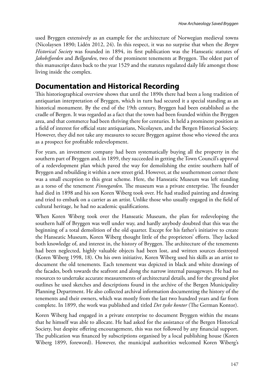used Bryggen extensively as an example for the architecture of Norwegian medieval towns (Nicolaysen 1890; Lidén 2012, 24). In this respect, it was no surprise that when the *Bergen Historical Society* was founded in 1894, its first publication was the Hanseatic statutes of *Jakobsfjorden* and *Bellgarden*, two of the prominent tenements at Bryggen. The oldest part of this manuscript dates back to the year 1529 and the statutes regulated daily life amongst those living inside the complex.

## **Documentation and Historical Recording**

This historiographical overview shows that until the 1890s there had been a long tradition of antiquarian interpretation of Bryggen, which in turn had secured it a special standing as an historical monument. By the end of the 19th century, Bryggen had been established as the cradle of Bergen. It was regarded as a fact that the town had been founded within the Bryggen area, and that commerce had been thriving there for centuries. It held a prominent position as a field of interest for official state antiquarians, Nicolaysen, and the Bergen Historical Society. However, they did not take any measures to secure Bryggen against those who viewed the area as a prospect for profitable redevelopment.

For years, an investment company had been systematically buying all the property in the southern part of Bryggen and, in 1899, they succeeded in getting the Town Council's approval of a redevelopment plan which paved the way for demolishing the entire southern half of Bryggen and rebuilding it within a new street grid. However, at the southernmost corner there was a small exception to this great scheme. Here, the Hanseatic Museum was left standing as a torso of the tenement *Finnegarden*. The museum was a private enterprise. The founder had died in 1898 and his son Koren Wiberg took over. He had studied painting and drawing and tried to embark on a carrier as an artist. Unlike those who usually engaged in the field of cultural heritage, he had no academic qualifications.

When Koren Wiberg took over the Hanseatic Museum, the plan for redeveloping the southern half of Bryggen was well under way, and hardly anybody doubted that this was the beginning of a total demolition of the old quarter. Except for his father's initiative to create the Hanseatic Museum, Koren Wiberg thought little of the proprietors' efforts. They lacked both knowledge of, and interest in, the history of Bryggen. The architecture of the tenements had been neglected, highly valuable objects had been lost, and written sources destroyed (Koren Wiberg 1998, 18). On his own initiative, Koren Wiberg used his skills as an artist to document the old tenements. Each tenement was depicted in black and white drawings of the facades, both towards the seafront and along the narrow internal passageways. He had no resources to undertake accurate measurements of architectural details, and for the ground plot outlines he used sketches and descriptions found in the archive of the Bergen Municipality Planning Department. He also collected archival information documenting the history of the tenements and their owners, which was mostly from the last two hundred years and far from complete. In 1899, the work was published and titled *Det tyske kontor* (The German Kontor).

Koren Wiberg had engaged in a private enterprise to document Bryggen within the means that he himself was able to allocate. He had asked for the assistance of the Bergen Historical Society, but despite offering encouragement, this was not followed by any financial support. The publication was financed by subscriptions organised by a local publishing house (Koren Wiberg 1899, foreword). However, the municipal authorities welcomed Koren Wiberg's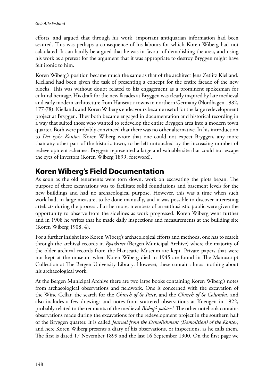efforts, and argued that through his work, important antiquarian information had been secured. This was perhaps a consequence of his labours for which Koren Wiberg had not calculated. It can hardly be argued that he was in favour of demolishing the area, and using his work as a pretext for the argument that it was appropriate to destroy Bryggen might have felt ironic to him.

Koren Wiberg's position became much the same as that of the architect Jens Zetlitz Kielland. Kielland had been given the task of presenting a concept for the entire facade of the new blocks. This was without doubt related to his engagement as a prominent spokesman for cultural heritage. His draft for the new facades at Bryggen was clearly inspired by late medieval and early modern architecture from Hanseatic towns in northern Germany (Nordhagen 1982, 177-78). Kielland's and Koren Wiberg's endeavours became useful for the large redevelopment project at Bryggen. They both became engaged in documentation and historical recording in a way that suited those who wanted to redevelop the entire Bryggen area into a modern town quarter. Both were probably convinced that there was no other alternative. In his introduction to *Det tyske Kontor*, Koren Wiberg wrote that one could not expect Bryggen, any more than any other part of the historic town, to be left untouched by the increasing number of redevelopment schemes. Bryggen represented a large and valuable site that could not escape the eyes of investors (Koren Wiberg 1899, foreword).

## **Koren Wiberg's Field Documentation**

As soon as the old tenements were torn down, work on excavating the plots began. The purpose of these excavations was to facilitate solid foundations and basement levels for the new buildings and had no archaeological purpose. However, this was a time when such work had, in large measure, to be done manually, and it was possible to discover interesting artefacts during the process . Furthermore, members of an enthusiastic public were given the opportunity to observe from the sidelines as work progressed. Koren Wiberg went further and in 1908 he writes that he made daily inspections and measurements at the building site (Koren Wiberg 1908, 4).

For a further insight into Koren Wiberg's archaeological efforts and methods, one has to search through the archival records in *Byarkivet* (Bergen Municipal Archive) where the majority of the older archival records from the Hanseatic Museum are kept. Private papers that were not kept at the museum when Koren Wiberg died in 1945 are found in The Manuscript Collection at The Bergen University Library*.* However, these contain almost nothing about his archaeological work.

At the Bergen Municipal Archive there are two large books containing Koren Wiberg's notes from archaeological observations and fieldwork. One is concerned with the excavation of the Wine Cellar, the search for the *Church of St Pete*r, and the *Church of St Columba*, and also includes a few drawings and notes from scattered observations at Koengen in 1922, probably related to the remnants of the medieval *Bishop's palace*. 1 The other notebook contains observations made during the excavations for the redevelopment project in the southern half of the Bryggen quarter. It is called *Journal from the Demolishment (Demolition) of the Kontor*, and here Koren Wiberg presents a diary of his observations, or inspections, as he calls them. The first is dated 17 November 1899 and the last 16 September 1900. On the first page we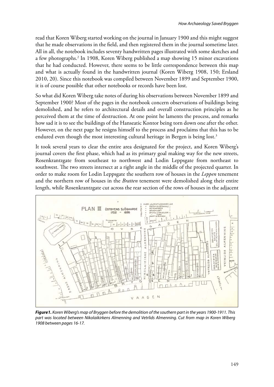read that Koren Wiberg started working on the journal in January 1900 and this might suggest that he made observations in the field, and then registered them in the journal sometime later. All in all, the notebook includes seventy handwritten pages illustrated with some sketches and a few photographs.2 In 1908, Koren Wiberg published a map showing 15 minor excavations that he had conducted. However, there seems to be little correspondence between this map and what is actually found in the handwritten journal (Koren Wiberg 1908, 150; Ersland 2010, 20). Since this notebook was compiled between November 1899 and September 1900, it is of course possible that other notebooks or records have been lost.

So what did Koren Wiberg take notes of during his observations between November 1899 and September 1900? Most of the pages in the notebook concern observations of buildings being demolished, and he refers to architectural details and overall construction principles as he perceived them at the time of destruction. At one point he laments the process, and remarks how sad it is to see the buildings of the Hanseatic Kontor being torn down one after the other. However, on the next page he resigns himself to the process and proclaims that this has to be endured even though the most interesting cultural heritage in Bergen is being lost.<sup>3</sup>

It took several years to clear the entire area designated for the project, and Koren Wiberg's journal covers the first phase, which had as its primary goal making way for the new streets, Rosenkrantzgate from southeast to northwest and Lodin Leppsgate from northeast to southwest. The two streets intersect at a right angle in the middle of the projected quarter. In order to make room for Lodin Leppsgate the southern row of houses in the *Leppen* tenement and the northern row of houses in the *Bratten* tenement were demolished along their entire length, while Rosenkrantzgate cut across the rear section of the rows of houses in the adjacent



*Figure1. Koren Wiberg's map of Bryggen before the demolition of the southern part in the years 1900-1911. This part was located between Nikolaikirkens Almenning and Vetrlids Almenning. Cut from map in Koren Wiberg 1908 between pages 16-17.*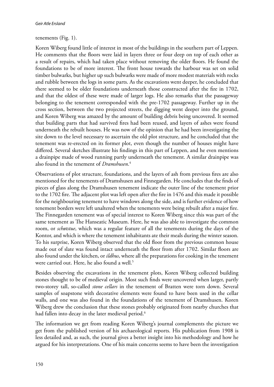#### tenements (Fig. 1).

Koren Wiberg found little of interest in most of the buildings in the southern part of Leppen. He comments that the floors were laid in layers three or four deep on top of each other as a result of repairs, which had taken place without removing the older floors. He found the foundations to be of more interest. The front house towards the harbour was set on solid timber bulwarks, but higher up such bulwarks were made of more modest materials with rocks and rubble between the logs in some parts. As the excavations went deeper, he concluded that there seemed to be older foundations underneath those constructed after the fire in 1702, and that the oldest of these were made of larger logs. He also remarks that the passageway belonging to the tenement corresponded with the pre-1702 passageway. Further up in the cross section, between the two projected streets, the digging went deeper into the ground, and Koren Wiberg was amazed by the amount of building debris being uncovered. It seemed that building parts that had survived fires had been reused, and layers of ashes were found underneath the rebuilt houses. He was now of the opinion that he had been investigating the site down to the level necessary to ascertain the old plot structure, and he concluded that the tenement was re-erected on its former plot, even though the number of houses might have differed. Several sketches illustrate his findings in this part of Leppen, and he even mentions a drainpipe made of wood running partly underneath the tenement. A similar drainpipe was also found in the tenement of *Dramshusen*. 4

Observations of plot structure, foundations, and the layers of ash from previous fires are also mentioned for the tenements of Dramshusen and Finnegarden. He concludes that the finds of pieces of glass along the Dramshusen tenement indicate the outer line of the tenement prior to the 1702 fire. The adjacent plot was left open after the fire in 1476 and this made it possible for the neighbouring tenement to have windows along the side, and is further evidence of how tenement borders were left unaltered when the tenements were being rebuilt after a major fire. The Finnegarden tenement was of special interest to Koren Wiberg since this was part of the same tenement as The Hanseatic Museum. Here, he was also able to investigate the common room, or *schøtstue*, which was a regular feature of all the tenements during the days of the Kontor, and which is where the tenement inhabitants ate their meals during the winter season. To his surprise, Koren Wiberg observed that the old floor from the previous common house made out of slate was found intact underneath the floor from after 1702. Similar floors are also found under the kitchen, or *ildhus*, where all the preparations for cooking in the tenement were carried out. Here, he also found a well.<sup>5</sup>

Besides observing the excavations in the tenement plots, Koren Wiberg collected building stones thought to be of medieval origin. Most such finds were uncovered when larger, partly two-storey tall, so-called *stone cellars* in the tenement of Bratten were torn down. Several samples of soapstone with decorative elements were found to have been used in the cellar walls, and one was also found in the foundations of the tenement of Dramshusen. Koren Wiberg drew the conclusion that these stones probably originated from nearby churches that had fallen into decay in the later medieval period.<sup>6</sup>

The information we get from reading Koren Wiberg's journal complements the picture we get from the published version of his archaeological reports. His publication from 1908 is less detailed and, as such, the journal gives a better insight into his methodology and how he argued for his interpretations. One of his main concerns seems to have been the investigation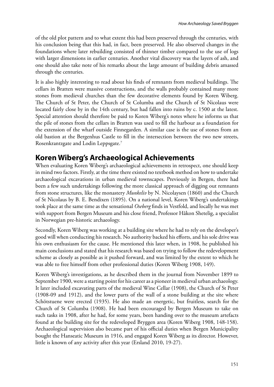of the old plot pattern and to what extent this had been preserved through the centuries, with his conclusion being that this had, in fact, been preserved. He also observed changes in the foundations where later rebuilding consisted of thinner timber compared to the use of logs with larger dimensions in earlier centuries. Another vital discovery was the layers of ash, and one should also take note of his remarks about the large amount of building debris amassed through the centuries.

It is also highly interesting to read about his finds of remnants from medieval buildings. The cellars in Bratten were massive constructions, and the walls probably contained many more stones from medieval churches than the few decorative elements found by Koren Wiberg. The Church of St Peter, the Church of St Columba and the Church of St Nicolaus were located fairly close by in the 14th century, but had fallen into ruins by c. 1500 at the latest. Special attention should therefore be paid to Koren Wiberg's notes where he informs us that the pile of stones from the cellars in Bratten was used to fill the harbour as a foundation for the extension of the wharf outside Finnegarden. A similar case is the use of stones from an old bastion at the Bergenhus Castle to fill in the intersection between the two new streets, Rosenkrantzgate and Lodin Leppsgate.7

## **Koren Wiberg's Archaeological Achievements**

When evaluating Koren Wiberg's archaeological achievements in retrospect, one should keep in mind two factors. Firstly, at the time there existed no textbook method on how to undertake archaeological excavations in urban medieval townscapes. Previously in Bergen, there had been a few such undertakings following the more classical approach of digging out remnants from stone structures, like the monastery *Munkeliv* by N. Nicolaysen (1860) and the Church of St Nicolaus by B. E. Bendixen (1895). On a national level, Koren Wiberg's undertakings took place at the same time as the sensational *Oseberg* finds in Vestfold, and locally he was met with support from Bergen Museum and his close friend, Professor Håkon Shetelig, a specialist in Norwegian pre-historic archaeology.

Secondly, Koren Wiberg was working at a building site where he had to rely on the developer's good will when conducting his research. No authority backed his efforts, and his sole drive was his own enthusiasm for the cause. He mentioned this later when, in 1908, he published his main conclusions and stated that his research was based on trying to follow the redevelopment scheme as closely as possible as it pushed forward, and was limited by the extent to which he was able to free himself from other professional duties (Koren Wiberg 1908, 149).

Koren Wiberg's investigations, as he described them in the journal from November 1899 to September 1900, were a starting point for his career as a pioneer in medieval urban archaeology. It later included excavating parts of the medieval Wine Cellar (1908), the Church of St Peter (1908-09 and 1912), and the lower parts of the wall of a stone building at the site where Schötstuene were erected (1935). He also made an energetic, but fruitless, search for the Church of St Columba (1908). He had been encouraged by Bergen Museum to take on such tasks in 1908, after he had, for some years, been handing over to the museum artefacts found at the building site for the redeveloped Bryggen area (Koren Wiberg 1908, 148-158). Archaeological supervision also became part of his official duties when Bergen Municipality bought the Hanseatic Museum in 1916, and engaged Koren Wiberg as its director. However, little is known of any activity after this year (Ersland 2010, 19-27).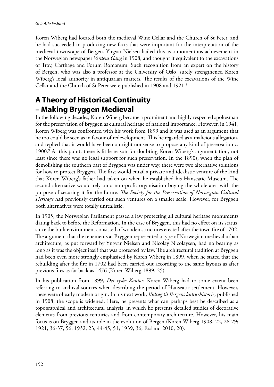Koren Wiberg had located both the medieval Wine Cellar and the Church of St Peter, and he had succeeded in producing new facts that were important for the interpretation of the medieval townscape of Bergen. Yngvar Nielsen hailed this as a momentous achievement in the Norwegian newspaper *Verdens Gang* in 1908, and thought it equivalent to the excavations of Troy, Carthage and Forum Romanum. Such recognition from an expert on the history of Bergen, who was also a professor at the University of Oslo, surely strengthened Koren Wiberg's local authority in antiquarian matters. The results of the excavations of the Wine Cellar and the Church of St Peter were published in 1908 and 1921.<sup>8</sup>

## **A Theory of Historical Continuity – Making Bryggen Medieval**

In the following decades, Koren Wiberg became a prominent and highly respected spokesman for the preservation of Bryggen as cultural heritage of national importance. However, in 1941, Koren Wiberg was confronted with his work from 1899 and it was used as an argument that he too could be seen as in favour of redevelopment. This he regarded as a malicious allegation, and replied that it would have been outright nonsense to propose any kind of preservation c. 1900.9 At this point, there is little reason for doubting Koren Wiberg's argumentation, not least since there was no legal support for such preservation. In the 1890s, when the plan of demolishing the southern part of Bryggen was under way, there were two alternative solutions for how to protect Bryggen. The first would entail a private and idealistic venture of the kind that Koren Wiberg's father had taken on when he established his Hanseatic Museum. The second alternative would rely on a non-profit organisation buying the whole area with the purpose of securing it for the future. *The Society for the Preservation of Norwegian Cultural Heritage* had previously carried out such ventures on a smaller scale. However, for Bryggen both alternatives were totally unrealistic.

In 1905, the Norwegian Parliament passed a law protecting all cultural heritage monuments dating back to before the Reformation. In the case of Bryggen, this had no effect on its status, since the built environment consisted of wooden structures erected after the town fire of 1702. The argument that the tenements at Bryggen represented a type of Norwegian medieval urban architecture, as put forward by Yngvar Nielsen and Nicolay Nicolaysen, had no bearing as long as it was the object itself that was protected by law. The architectural tradition at Bryggen had been even more strongly emphasised by Koren Wiberg in 1899, when he stated that the rebuilding after the fire in 1702 had been carried out according to the same layouts as after previous fires as far back as 1476 (Koren Wiberg 1899, 25).

In his publication from 1899, *Det tyske Kontor*, Koren Wiberg had to some extent been referring to archival sources when describing the period of Hanseatic settlement. However, these were of early modern origin. In his next work, *Bidrag til Bergens kulturhistorie*, published in 1908, the scope is widened. Here, he presents what can perhaps best be described as a topographical and architectural analysis, in which he presents detailed studies of decorative elements from previous centuries and from contemporary architecture. However, his main focus is on Bryggen and its role in the evolution of Bergen (Koren Wiberg 1908, 22, 28-29; 1921, 36-37, 56; 1932, 23, 44-45, 51; 1939, 36; Ersland 2010, 20).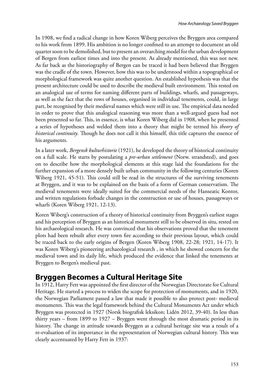In 1908, we find a radical change in how Koren Wiberg perceives the Bryggen area compared to his work from 1899. His ambition is no longer confined to an attempt to document an old quarter soon to be demolished, but to present an overarching model for the urban development of Bergen from earliest times and into the present. As already mentioned, this was not new. As far back as the historiography of Bergen can be traced it had been believed that Bryggen was the cradle of the town. However, how this was to be understood within a topographical or morphological framework was quite another question. An established hypothesis was that the present architecture could be used to describe the medieval built environment. This rested on an analogical use of terms for naming different parts of buildings, wharfs, and passageways, as well as the fact that the rows of houses, organised in individual tenements, could, in large part, be recognised by their medieval names which were still in use. The empirical data needed in order to prove that this analogical reasoning was more than a well-argued guess had not been presented so far. This, in essence, is what Koren Wiberg did in 1908, when he presented a series of hypotheses and welded them into a theory that might be termed his *theory of historical continuity*. Though he does not call it this himself, this title captures the essence of his arguments.

In a later work, *Bergensk kulturhistorie* (1921), he developed the theory of historical continuity on a full scale. He starts by postulating a *pre-urban settlement* (Norw. strandsted), and goes on to describe how the morphological elements at this stage laid the foundations for the further expansion of a more densely built urban community in the following centuries (Koren Wiberg 1921, 45-51). This could still be read in the structures of the surviving tenements at Bryggen, and it was to be explained on the basis of a form of German conservatism. The medieval tenements were ideally suited for the commercial needs of the Hanseatic Kontor, and written regulations forbade changes in the construction or use of houses, passageways or wharfs (Koren Wiberg 1921, 12-13).

Koren Wiberg's construction of a theory of historical continuity from Bryggen's earliest stages and his perception of Bryggen as an historical monument still to be observed in situ, rested on his archaeological research. He was convinced that his observations proved that the tenement plots had been rebuilt after every town fire according to their previous layout, which could be traced back to the early origins of Bergen (Koren Wiberg 1908, 22-28; 1921, 14-17). It was Koren Wiberg's pioneering archaeological research , in which he showed concern for the medieval town and its daily life, which produced the evidence that linked the tenements at Bryggen to Bergen's medieval past.

## **Bryggen Becomes a Cultural Heritage Site**

In 1912, Harry Fett was appointed the first director of the Norwegian Directorate for Cultural Heritage. He started a process to widen the scope for protection of monuments, and in 1920, the Norwegian Parliament passed a law that made it possible to also protect post- medieval monuments. This was the legal framework behind the Cultural Monuments Act under which Bryggen was protected in 1927 (Norsk biografisk leksikon; Lidén 2012, 39-40). In less than thirty years – from 1899 to 1927 – Bryggen went through the most dramatic period in its history. The change in attitude towards Bryggen as a cultural heritage site was a result of a re-evaluation of its importance in the representation of Norwegian cultural history. This was clearly accentuated by Harry Fett in 1937: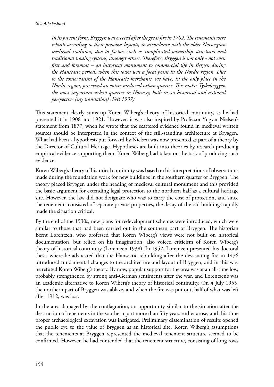*In its present form, Bryggen was erected after the great fire in 1702. The tenements were rebuilt according to their previous layouts, in accordance with the older Norwegian medieval tradition, due to factors such as complicated ownership structures and traditional trading systems, amongst others. Therefore, Bryggen is not only - not even first and foremost – an historical monument to commercial life in Bergen during the Hanseatic period, when this town was a focal point in the Nordic region. Due to the conservatism of the Hanseatic merchants, we have, in the only place in the Nordic region, preserved an entire medieval urban quarter. This makes Tyskebryggen the most important urban quarter in Norway, both in an historical and national perspective (my translation) (Fett 1937).*

This statement clearly sums up Koren Wiberg's theory of historical continuity, as he had presented it in 1908 and 1921. However, it was also inspired by Professor Yngvar Nielsen's statement from 1877, when he wrote that the scattered evidence found in medieval written sources should be interpreted in the context of the still-standing architecture at Bryggen. What had been a hypothesis put forward by Nielsen was now presented as part of a theory by the Director of Cultural Heritage. Hypotheses are built into theories by research producing empirical evidence supporting them. Koren Wiberg had taken on the task of producing such evidence.

Koren Wiberg's theory of historical continuity was based on his interpretations of observations made during the foundation work for new buildings in the southern quarter of Bryggen. The theory placed Bryggen under the heading of medieval cultural monument and this provided the basic argument for extending legal protection to the northern half as a cultural heritage site. However, the law did not designate who was to carry the cost of protection, and since the tenements consisted of separate private properties, the decay of the old buildings rapidly made the situation critical.

By the end of the 1930s, new plans for redevelopment schemes were introduced, which were similar to those that had been carried out in the southern part of Bryggen. The historian Bernt Lorentzen, who professed that Koren Wiberg's views were not built on historical documentation, but relied on his imagination, also voiced criticism of Koren Wiberg's theory of historical continuity (Lorentzen 1938). In 1952, Lorentzen presented his doctoral thesis where he advocated that the Hanseatic rebuilding after the devastating fire in 1476 introduced fundamental changes to the architecture and layout of Bryggen, and in this way he refuted Koren Wiberg's theory. By now, popular support for the area was at an all-time low, probably strengthened by strong anti-German sentiments after the war, and Lorentzen's was an academic alternative to Koren Wiberg's theory of historical continuity. On 4 July 1955, the northern part of Bryggen was ablaze, and when the fire was put out, half of what was left after 1912, was lost.

In the area damaged by the conflagration, an opportunity similar to the situation after the destruction of tenements in the southern part more than fifty years earlier arose, and this time proper archaeological excavation was instigated. Preliminary dissemination of results opened the public eye to the value of Bryggen as an historical site. Koren Wiberg's assumptions that the tenements at Bryggen represented the medieval tenement structure seemed to be confirmed. However, he had contended that the tenement structure, consisting of long rows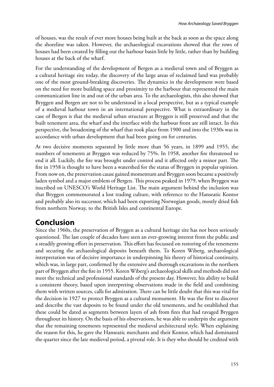of houses, was the result of ever more houses being built at the back as soon as the space along the shoreline was taken. However, the archaeological excavations showed that the rows of houses had been created by filling out the harbour basin little by little, rather than by building houses at the back of the wharf.

For the understanding of the development of Bergen as a medieval town and of Bryggen as a cultural heritage site today, the discovery of the large areas of reclaimed land was probably one of the most ground-breaking discoveries. The dynamics in the development were based on the need for more building space and proximity to the harbour that represented the main communication line in and out of the urban area. To the archaeologists, this also showed that Bryggen and Bergen are not to be understood in a local perspective, but as a typical example of a medieval harbour town in an international perspective. What is extraordinary in the case of Bergen is that the medieval urban structure at Bryggen is still preserved and that the built tenement area, the wharf and the interface with the harbour front are still intact. In this perspective, the broadening of the wharf that took place from 1900 and into the 1930s was in accordance with urban development that had been going on for centuries.

At two decisive moments separated by little more than 56 years, in 1899 and 1955, the numbers of tenements at Bryggen was reduced by 75%. In 1958, another fire threatened to end it all. Luckily, the fire was brought under control and it affected only a minor part. The fire in 1958 is thought to have been a watershed for the status of Bryggen in popular opinion. From now on, the preservation cause gained momentum and Bryggen soon became a positively laden symbol and a major emblem of Bergen. This process peaked in 1979, when Bryggen was inscribed on UNESCO's World Heritage List. The main argument behind the inclusion was that Bryggen commemorated a lost trading culture, with reference to the Hanseatic Kontor and probably also its successor, which had been exporting Norwegian goods, mostly dried fish from northern Norway, to the British Isles and continental Europe.

## **Conclusion**

Since the 1960s, the preservation of Bryggen as a cultural heritage site has not been seriously questioned. The last couple of decades have seen an ever-growing interest from the public and a steadily growing effort in preservation. This effort has focussed on restoring of the tenements and securing the archaeological deposits beneath them. To Koren Wiberg, archaeological interpretation was of decisive importance in underpinning his theory of historical continuity, which was, in large part, confirmed by the extensive and thorough excavations in the northern part of Bryggen after the fire in 1955. Koren Wiberg's archaeological skills and methods did not meet the technical and professional standards of the present day. However, his ability to build a consistent theory, based upon interpreting observations made in the field and combining them with written sources, calls for admiration. There can be little doubt that this was vital for the decision in 1927 to protect Bryggen as a cultural monument. He was the first to discover and describe the vast deposits to be found under the old tenements, and he established that these could be dated as segments between layers of ash from fires that had ravaged Bryggen throughout its history. On the basis of his observations, he was able to underpin the argument that the remaining tenements represented the medieval architectural style. When explaining the reason for this, he gave the Hanseatic merchants and their Kontor, which had dominated the quarter since the late medieval period, a pivotal role. It is they who should be credited with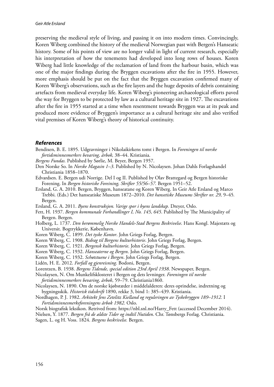preserving the medieval style of living, and passing it on into modern times. Convincingly, Koren Wiberg combined the history of the medieval Norwegian past with Bergen's Hanseatic history. Some of his points of view are no longer valid in light of current research, especially his interpretation of how the tenements had developed into long rows of houses. Koren Wiberg had little knowledge of the reclamation of land from the harbour basin, which was one of the major findings during the Bryggen excavations after the fire in 1955. However, more emphasis should be put on the fact that the Bryggen excavation confirmed many of Koren Wiberg's observations, such as the fire layers and the huge deposits of debris containing artefacts from medieval everyday life. Koren Wiberg's pioneering archaeological efforts paved the way for Bryggen to be protected by law as a cultural heritage site in 1927. The excavations after the fire in 1955 started at a time when resentment towards Bryggen was at its peak and produced more evidence of Bryggen's importance as a cultural heritage site and also verified vital premises of Koren Wiberg's theory of historical continuity.

#### *References*

- Bendixen, B. E. 1895. Udgravninger i Nikolaikirkens tomt i Bergen. In *Foreningen til norske fortidsminnesmerkers bevaring, årbok,* 38–44. Kristiania.
- *Bergens Fundas.* Published by Sørlie, M. Beyer, Bergen 1957.
- Den Norske So. In *Norske Magasin 1–3*. Published by N. Nicolaysen. Johan Dahls Forlagshandel Christiania 1858–1870.
- Edvardsen. E. Bergen udi Norrige. Del I og II. Published by Olav Brattegard og Bergen historiske Forening. In *Bergen historiske Foreining, Skrifter 55/56–57.* Bergen 1951–52.
- Ersland, G. A. 2010. Bergen, Bryggen, hanseatane og Koren Wiberg. In Geir Atle Ersland og Marco Trebbi. (Eds.) Det hanseatiske Museum 1872–2010. *Det hansetiske Museums Skrifter nr. 29,* 9–45*.*  Bergen.
- Ersland, G. A. 2011. *Byens konstruksjon. Varige spor i byens landskap.* Dreyer, Oslo.
- Fett, H. 1937. *Bergen kommunale Forhandlinger I, No. 145, 645*. Published by The Municipality of Bergen. Bergen.
- Holberg, L. 1737. *Den berømmelig Norske Handels-Stad Bergens Beskrivelse*. Hans Kongl. Majestæts og Universit. Bogtrykkerie, København.
- Koren Wiberg, C. 1899. *Det tyske Kontor*. John Griegs Forlag, Bergen.
- Koren Wiberg, C. 1908. *Bidrag til Bergens kulturhistorie*. John Griegs Forlag, Bergen.
- Koren Wiberg, C. 1921. *Bergensk kulturhistorie*. John Griegs Forlag, Bergen.
- Koren Wiberg, C. 1932. *Hanseaterne og Bergen*. John Griegs Forlag, Bergen.
- Koren Wiberg, C. 1932. *Schøtstuene i Bergen*. John Griegs Forlag, Bergen.
- Lidén, H. E. 2012. *Forfall og gjenreisning*. Bodoni, Bergen.

Lorentzen, B. 1938. *Bergens Tidende, special edition 23rd April 1938*. Newspaper, Bergen.

- Nicolaysen, N. Om Munkelifsklosteret i Bergen og dets levninger. *Foreningen til norske fortidsminnesmerkers bevaring, årbok*, 59–79. Christiania1860.
- Nicolaysen, N. 1890. Om de norske kjøbstæder i middelalderen: deres oprindelse, indretning og bygningsskik. *Historisk tidsskrift* 1890, rekke 3, bind 1: 385–439. Kristiania.
- Nordhagen, P. J. 1982. *Arkitekt Jens Zetelitz Kielland og reguleringen av Tyskebryggen 189–1912.* I *Fortidsminnesmerkeforeningens årbok 1982*. Oslo.

Norsk biografisk leksikon. Retrived from: https://nbl.snl.no/Harry\_Fett (accessed December 2014). Nielsen, Y. 1877. *Bergen frå de ældste Tider og indtil Nutiden*. Chr. Tønsbergs Forlag. Christiania. Sagen, L. og H. Voss. 1824. *Bergens beskrivelse.* Bergen.